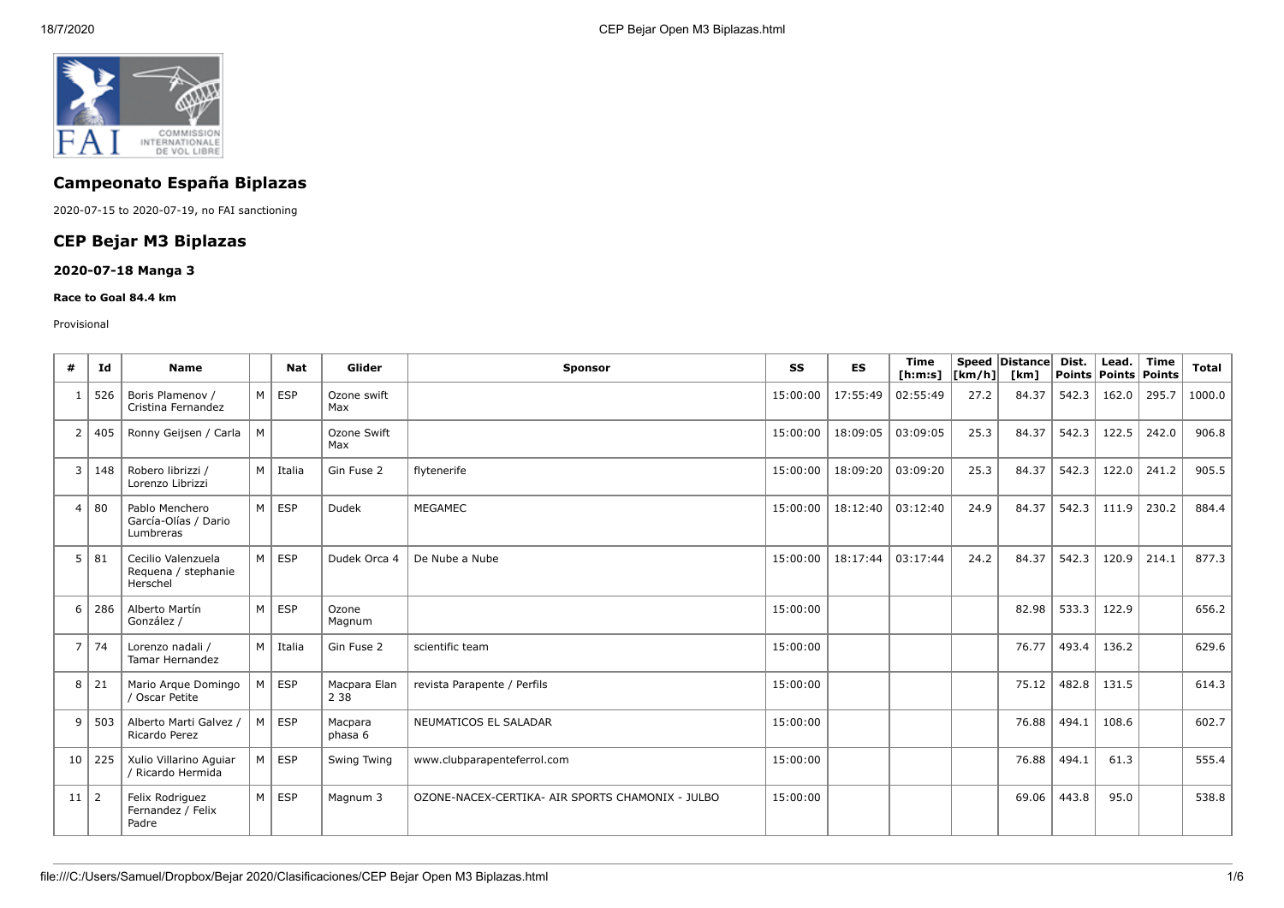

# **Campeonato España Biplazas**

2020-07-15 to 2020-07-19, no FAI sanctioning

## **CEP Bejar M3 Biplazas**

### **2020-07-18 Manga 3**

#### **Race to Goal 84.4 km**

#### Provisional

| #              | Id             | <b>Name</b>                                           |          | <b>Nat</b>     | Glider                | <b>Sponsor</b>                                   | SS       | ES       | <b>Time</b><br>[h:m:s] $ [km/h] $ |      | Speed Distance<br>[km] | Dist. | Lead.<br>Points   Points   Points | <b>Time</b> | Total  |
|----------------|----------------|-------------------------------------------------------|----------|----------------|-----------------------|--------------------------------------------------|----------|----------|-----------------------------------|------|------------------------|-------|-----------------------------------|-------------|--------|
| 1              | 526            | Boris Plamenov /<br>Cristina Fernandez                |          | $M \vert$ ESP  | Ozone swift<br>Max    |                                                  | 15:00:00 | 17:55:49 | 02:55:49                          | 27.2 | 84.37                  | 542.3 | 162.0                             | 295.7       | 1000.0 |
| 2              | 405            | Ronny Geijsen / Carla                                 | M        |                | Ozone Swift<br>Max    |                                                  | 15:00:00 | 18:09:05 | 03:09:05                          | 25.3 | 84.37                  | 542.3 | 122.5                             | 242.0       | 906.8  |
| 3              | 148            | Robero librizzi /<br>Lorenzo Librizzi                 | M        | Italia         | Gin Fuse 2            | flytenerife                                      | 15:00:00 | 18:09:20 | 03:09:20                          | 25.3 | 84.37                  | 542.3 | 122.0                             | 241.2       | 905.5  |
| $\overline{4}$ | 80             | Pablo Menchero<br>García-Olías / Dario<br>Lumbreras   |          | $M \vert$ ESP  | Dudek                 | MEGAMEC                                          | 15:00:00 | 18:12:40 | 03:12:40                          | 24.9 | 84.37                  | 542.3 | 111.9                             | 230.2       | 884.4  |
| 5              | 81             | Cecilio Valenzuela<br>Requena / stephanie<br>Herschel |          | $M \rvert$ ESP | Dudek Orca 4          | De Nube a Nube                                   | 15:00:00 | 18:17:44 | 03:17:44                          | 24.2 | 84.37                  | 542.3 | 120.9                             | 214.1       | 877.3  |
| 6              | 286            | Alberto Martín<br>González /                          | $M \mid$ | <b>ESP</b>     | Ozone<br>Magnum       |                                                  | 15:00:00 |          |                                   |      | 82.98                  | 533.3 | 122.9                             |             | 656.2  |
| $\overline{7}$ | 74             | Lorenzo nadali /<br><b>Tamar Hernandez</b>            |          | M   Italia     | Gin Fuse 2            | scientific team                                  | 15:00:00 |          |                                   |      | 76.77                  | 493.4 | 136.2                             |             | 629.6  |
| 8              | 21             | Mario Arque Domingo<br>/ Oscar Petite                 |          | $M \vert$ ESP  | Macpara Elan<br>2 3 8 | revista Parapente / Perfils                      | 15:00:00 |          |                                   |      | 75.12                  | 482.8 | 131.5                             |             | 614.3  |
| 9              | 503            | Alberto Marti Galvez /<br>Ricardo Perez               |          | $M \vert$ ESP  | Macpara<br>phasa 6    | NEUMATICOS EL SALADAR                            | 15:00:00 |          |                                   |      | 76.88                  | 494.1 | 108.6                             |             | 602.7  |
| 10             | 225            | Xulio Villarino Aquiar<br>/ Ricardo Hermida           | M        | <b>ESP</b>     | Swing Twing           | www.clubparapenteferrol.com                      | 15:00:00 |          |                                   |      | 76.88                  | 494.1 | 61.3                              |             | 555.4  |
| 11             | $\overline{2}$ | Felix Rodriguez<br>Fernandez / Felix<br>Padre         |          | $M \vert$ ESP  | Magnum 3              | OZONE-NACEX-CERTIKA- AIR SPORTS CHAMONIX - JULBO | 15:00:00 |          |                                   |      | 69.06                  | 443.8 | 95.0                              |             | 538.8  |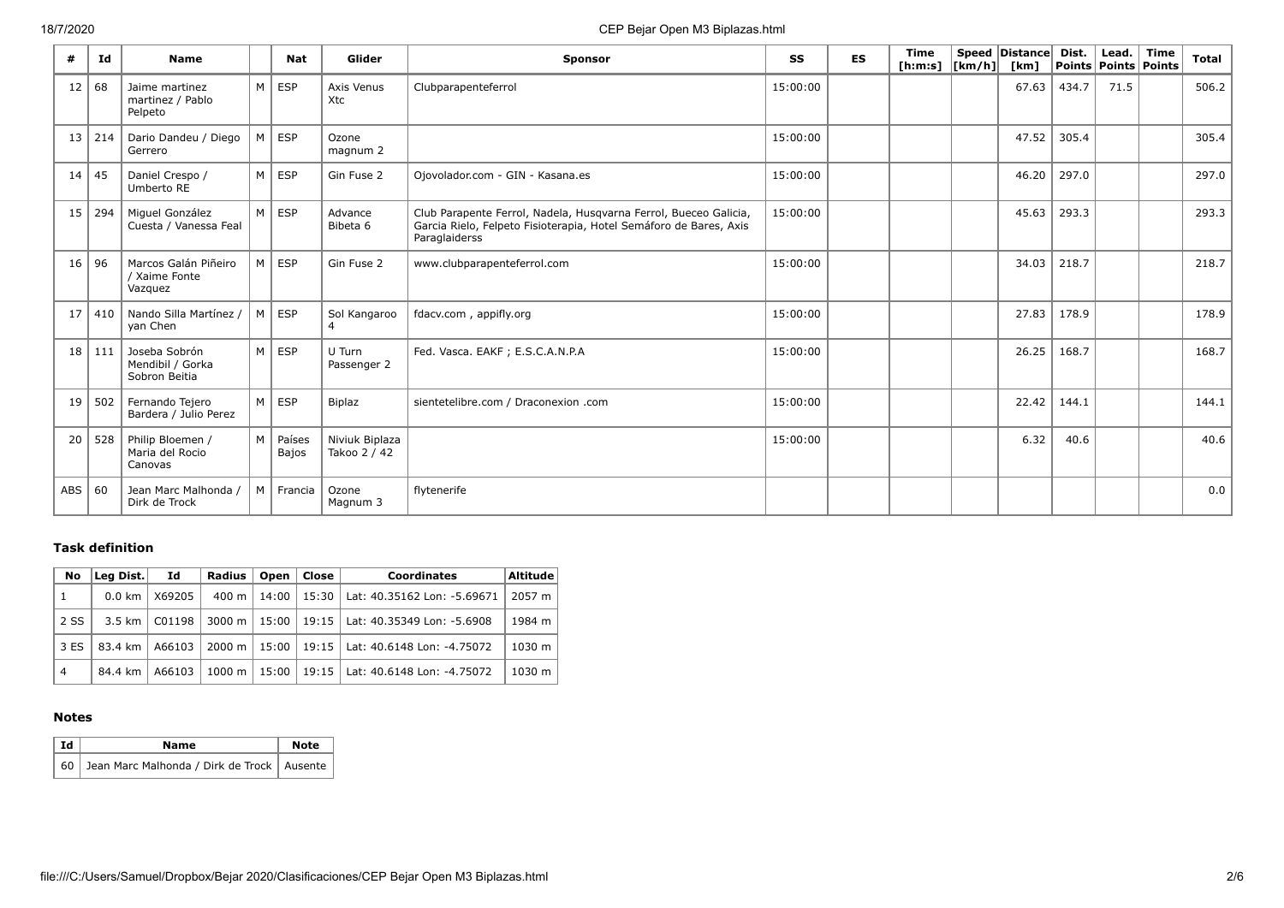| #               | Id            | <b>Name</b>                                        |                | <b>Nat</b>      | Glider                         | <b>Sponsor</b>                                                                                                                                         | SS       | ES | Time<br>[h:m:s] $\vert$ [km/h] $\vert$ | Speed Distance<br>[km] | Dist. | Lead.<br><b>Points Points Points</b> | <b>Time</b> | <b>Total</b> |
|-----------------|---------------|----------------------------------------------------|----------------|-----------------|--------------------------------|--------------------------------------------------------------------------------------------------------------------------------------------------------|----------|----|----------------------------------------|------------------------|-------|--------------------------------------|-------------|--------------|
| 12              | 68            | Jaime martinez<br>martinez / Pablo<br>Pelpeto      | M              | <b>ESP</b>      | Axis Venus<br>Xtc              | Clubparapenteferrol                                                                                                                                    | 15:00:00 |    |                                        | 67.63                  | 434.7 | 71.5                                 |             | 506.2        |
|                 | $13 \mid 214$ | Dario Dandeu / Diego<br>Gerrero                    | M              | <b>ESP</b>      | Ozone<br>magnum 2              |                                                                                                                                                        | 15:00:00 |    |                                        | 47.52                  | 305.4 |                                      |             | 305.4        |
| 14              | 45            | Daniel Crespo /<br>Umberto RE                      | M <sub>1</sub> | <b>ESP</b>      | Gin Fuse 2                     | Ojovolador.com - GIN - Kasana.es                                                                                                                       | 15:00:00 |    |                                        | 46.20                  | 297.0 |                                      |             | 297.0        |
| 15              | 294           | Miquel González<br>Cuesta / Vanessa Feal           | M <sub>1</sub> | <b>ESP</b>      | Advance<br>Bibeta 6            | Club Parapente Ferrol, Nadela, Husqvarna Ferrol, Bueceo Galicia,<br>Garcia Rielo, Felpeto Fisioterapia, Hotel Semáforo de Bares, Axis<br>Paraglaiderss | 15:00:00 |    |                                        | 45.63                  | 293.3 |                                      |             | 293.3        |
| 16              | 96            | Marcos Galán Piñeiro<br>/ Xaime Fonte<br>Vazquez   | M              | <b>ESP</b>      | Gin Fuse 2                     | www.clubparapenteferrol.com                                                                                                                            | 15:00:00 |    |                                        | 34.03                  | 218.7 |                                      |             | 218.7        |
| 17              | 410           | Nando Silla Martínez /<br>yan Chen                 | M              | <b>ESP</b>      | Sol Kangaroo                   | fdacv.com, appifly.org                                                                                                                                 | 15:00:00 |    |                                        | 27.83                  | 178.9 |                                      |             | 178.9        |
| 18 <sup>1</sup> | 111           | Joseba Sobrón<br>Mendibil / Gorka<br>Sobron Beitia | M              | <b>ESP</b>      | U Turn<br>Passenger 2          | Fed. Vasca. EAKF ; E.S.C.A.N.P.A                                                                                                                       | 15:00:00 |    |                                        | 26.25                  | 168.7 |                                      |             | 168.7        |
| 19              | 502           | Fernando Tejero<br>Bardera / Julio Perez           | M              | <b>ESP</b>      | <b>Biplaz</b>                  | sientetelibre.com / Draconexion .com                                                                                                                   | 15:00:00 |    |                                        | 22.42                  | 144.1 |                                      |             | 144.1        |
| 20              | 528           | Philip Bloemen /<br>Maria del Rocio<br>Canovas     | M <sub>1</sub> | Países<br>Bajos | Niviuk Biplaza<br>Takoo 2 / 42 |                                                                                                                                                        | 15:00:00 |    |                                        | 6.32                   | 40.6  |                                      |             | 40.6         |
| ABS             | 60            | Jean Marc Malhonda /<br>Dirk de Trock              | $M \mid$       | Francia         | Ozone<br>Magnum 3              | flytenerife                                                                                                                                            |          |    |                                        |                        |       |                                      |             | 0.0          |

## **Task definition**

| No             | Leg Dist.        | Id     | Radius             | Open  | Close | <b>Coordinates</b>                         | <b>Altitude</b>    |
|----------------|------------------|--------|--------------------|-------|-------|--------------------------------------------|--------------------|
| -1             | 0.0 km           | X69205 | 400 m              | 14:00 |       | 15:30   Lat: 40.35162 Lon: -5.69671        | 2057 m             |
| 2 SS           | $3.5 \text{ km}$ | C01198 | $3000 \; \text{m}$ |       |       | 15:00   19:15   Lat: 40.35349 Lon: -5.6908 | 1984 m             |
| 3 ES           | 83.4 km          | A66103 | 2000 m             |       |       | 15:00   19:15   Lat: 40.6148 Lon: -4.75072 | 1030 m             |
| $\overline{4}$ | 84.4 km          | A66103 | $1000 \;{\rm m}$   | 15:00 |       | 19:15   Lat: 40.6148 Lon: -4.75072         | $1030 \; \text{m}$ |

### **Notes**

| l Id | Name                                            | <b>Note</b> |
|------|-------------------------------------------------|-------------|
|      | 60 Jean Marc Malhonda / Dirk de Trock   Ausente |             |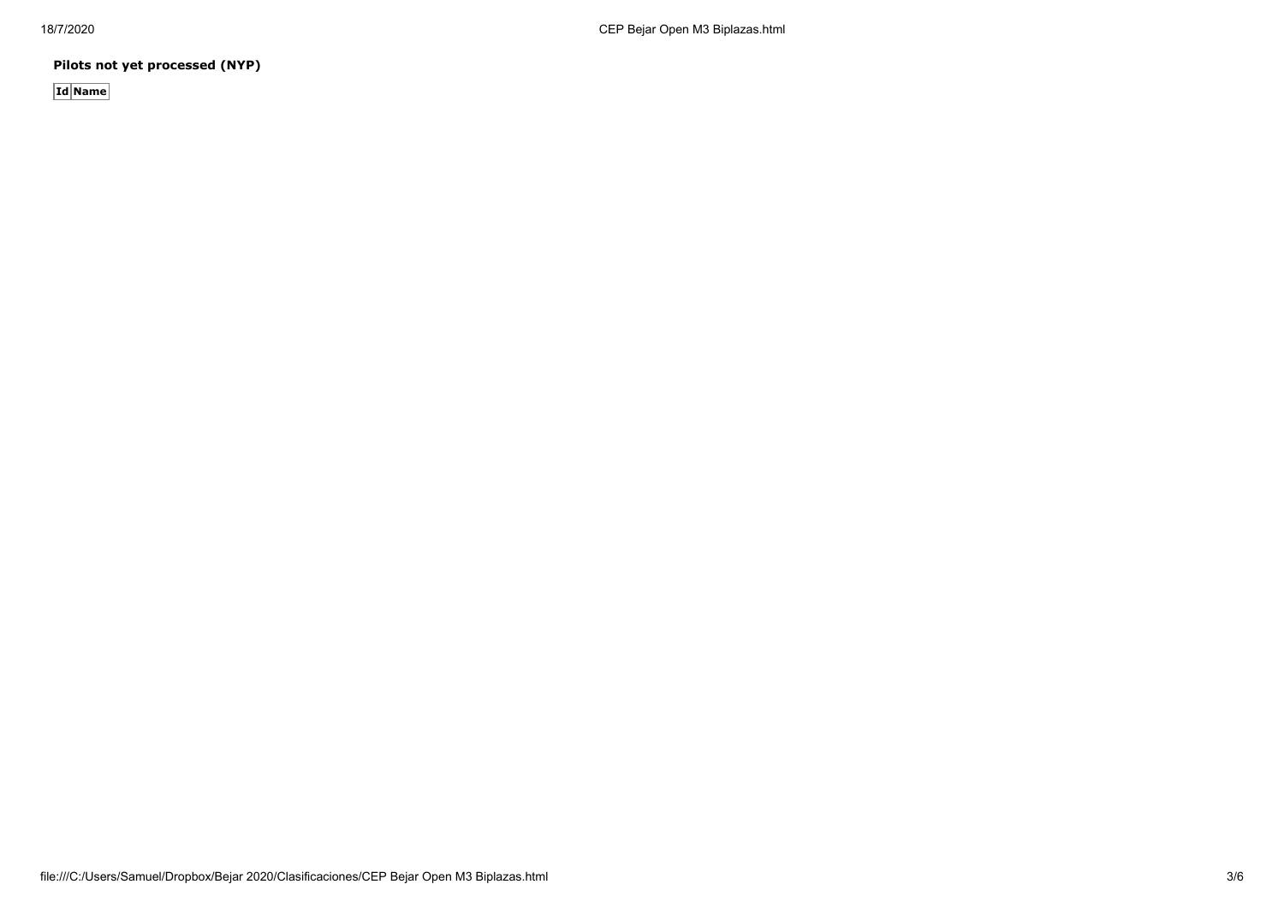**Pilots not yet processed (NYP)**

**Id Name**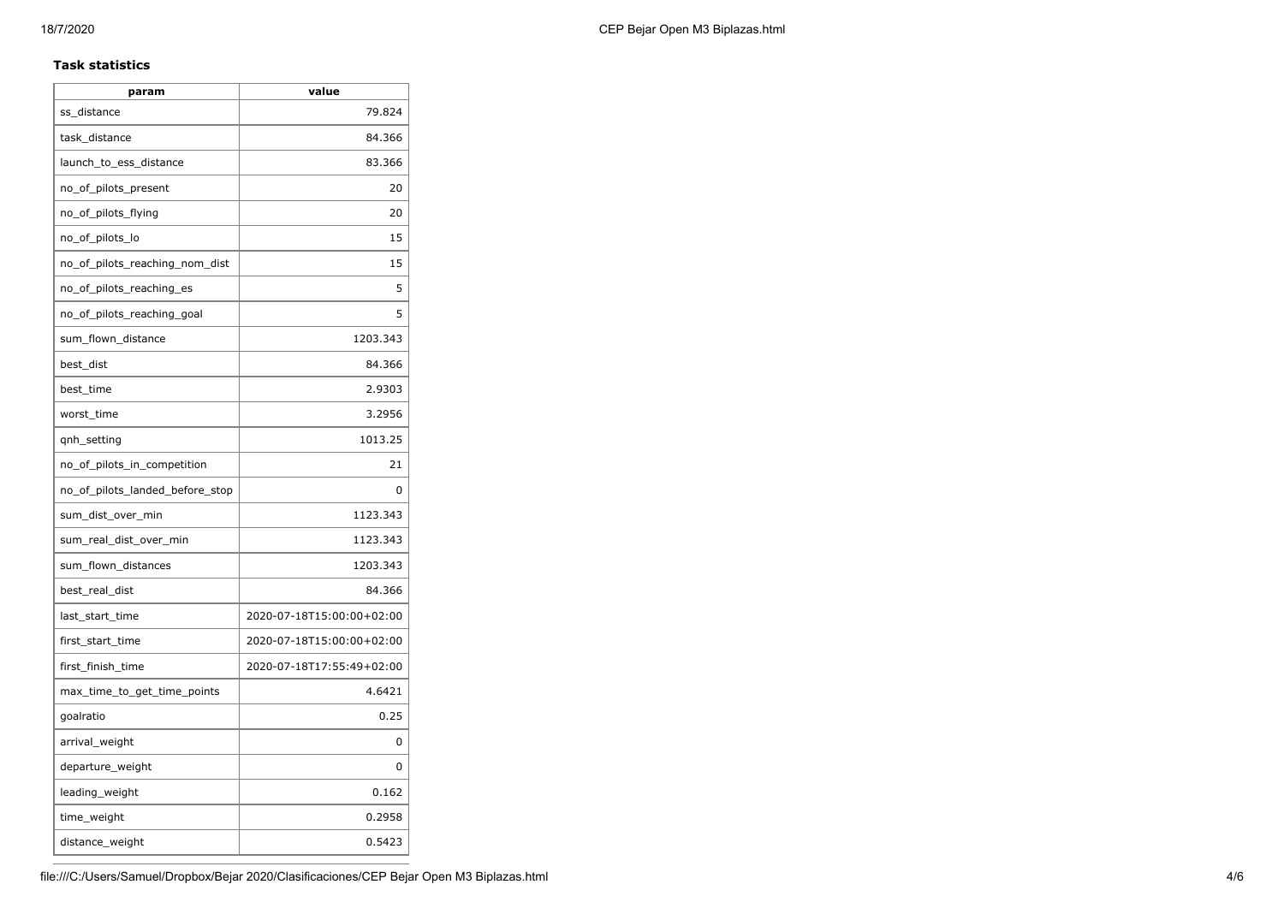### **Task statistics**

| param                           | value                     |
|---------------------------------|---------------------------|
| ss_distance                     | 79.824                    |
| task_distance                   | 84.366                    |
| launch_to_ess_distance          | 83.366                    |
| no_of_pilots_present            | 20                        |
| no_of_pilots_flying             | 20                        |
| no_of_pilots_lo                 | 15                        |
| no_of_pilots_reaching_nom_dist  | 15                        |
| no_of_pilots_reaching_es        | 5                         |
| no_of_pilots_reaching_goal      | 5                         |
| sum_flown_distance              | 1203.343                  |
| best dist                       | 84.366                    |
| best time                       | 2.9303                    |
| worst_time                      | 3.2956                    |
| qnh_setting                     | 1013.25                   |
| no_of_pilots_in_competition     | 21                        |
| no_of_pilots_landed_before_stop | 0                         |
| sum_dist_over_min               | 1123.343                  |
| sum_real_dist_over_min          | 1123.343                  |
| sum_flown_distances             | 1203.343                  |
| best_real_dist                  | 84.366                    |
| last_start_time                 | 2020-07-18T15:00:00+02:00 |
| first_start_time                | 2020-07-18T15:00:00+02:00 |
| first_finish_time               | 2020-07-18T17:55:49+02:00 |
| max_time_to_get_time_points     | 4.6421                    |
| goalratio                       | 0.25                      |
| arrival_weight                  | 0                         |
| departure_weight                | 0                         |
| leading_weight                  | 0.162                     |
| time_weight                     | 0.2958                    |
| distance_weight                 | 0.5423                    |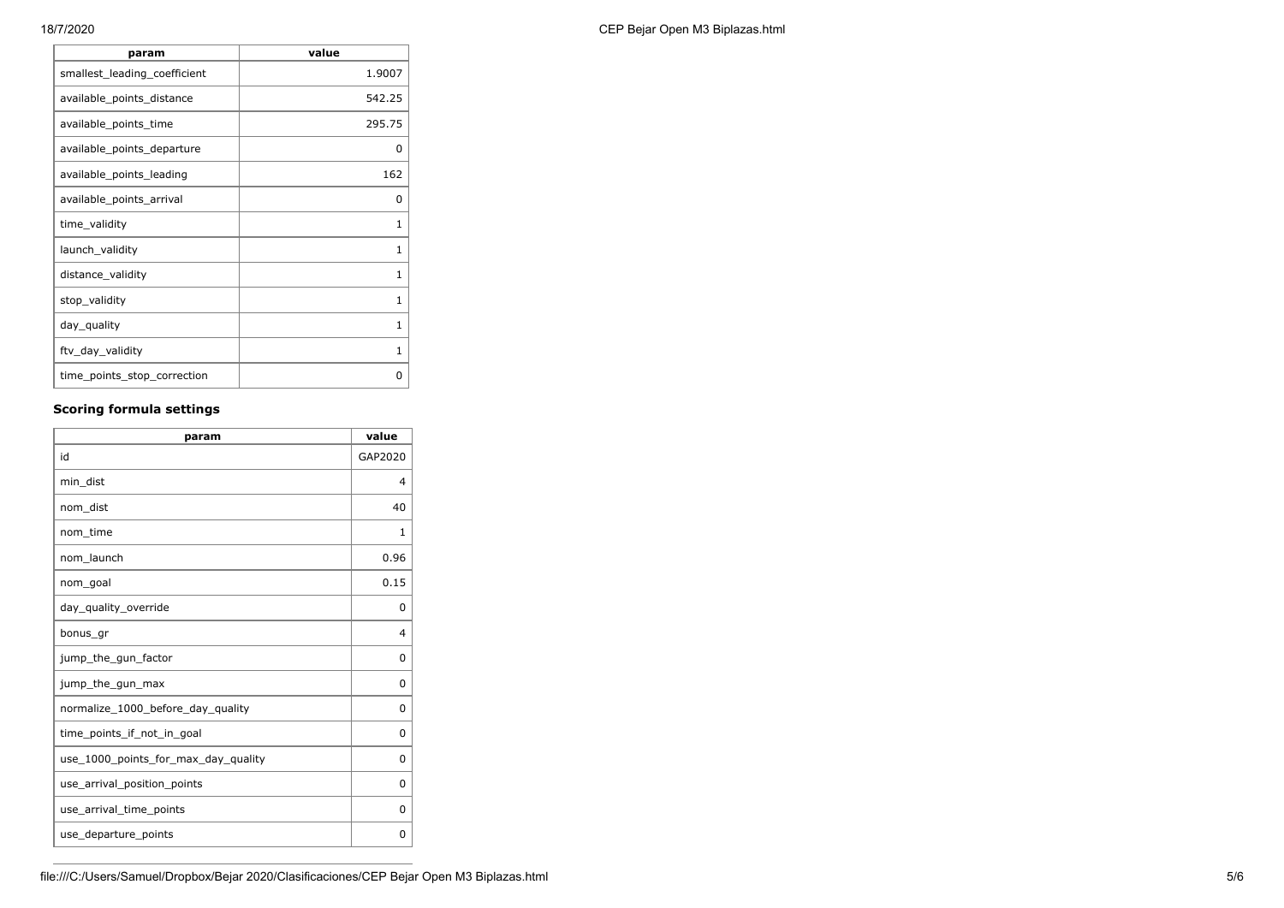| param                        | value  |
|------------------------------|--------|
| smallest_leading_coefficient | 1.9007 |
| available_points_distance    | 542.25 |
| available_points_time        | 295.75 |
| available_points_departure   | 0      |
| available_points_leading     | 162    |
| available_points_arrival     | 0      |
| time_validity                | 1      |
| launch_validity              | 1      |
| distance_validity            | 1      |
| stop_validity                | 1      |
| day_quality                  | 1      |
| ftv_day_validity             | 1      |
| time_points_stop_correction  | n      |

## **Scoring formula settings**

| param                               | value          |
|-------------------------------------|----------------|
| id                                  | GAP2020        |
| min dist                            | $\overline{4}$ |
| nom dist                            | 40             |
| nom_time                            | 1              |
| nom launch                          | 0.96           |
| nom_goal                            | 0.15           |
| day_quality_override                | 0              |
| bonus_gr                            | $\overline{4}$ |
| jump_the_gun_factor                 | 0              |
| jump_the_gun_max                    | 0              |
| normalize_1000_before_day_quality   | 0              |
| time points if not in goal          | 0              |
| use_1000_points_for_max_day_quality | 0              |
| use_arrival_position_points         | 0              |
| use_arrival_time_points             | 0              |
| use_departure_points                | 0              |